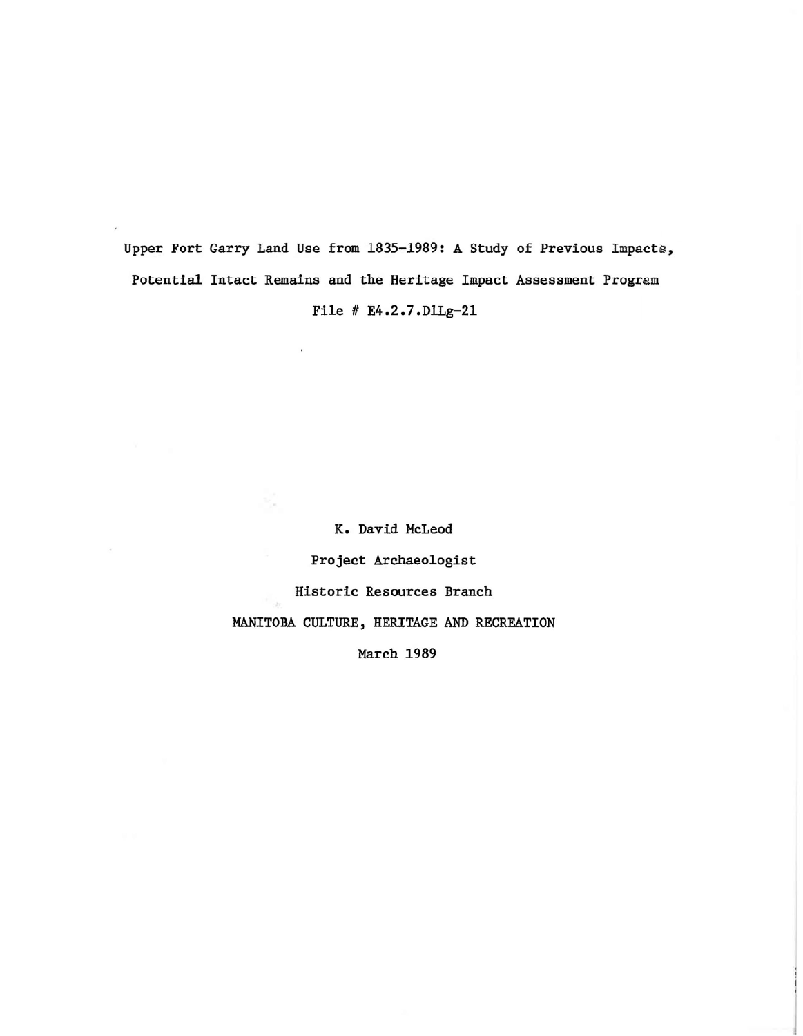Upper Fort Garry Land Use from 1835-1989: A Study of Previous Impacts, Potential Intact Remains and the Heritage Impact Assessment Program File # E4.2.7.D1Lg-21

K. David McLeod

Project Archaeologist

Historic Resources Branch

MANITOBA CULTURE, HERITAGE AND RECREATION

March 1989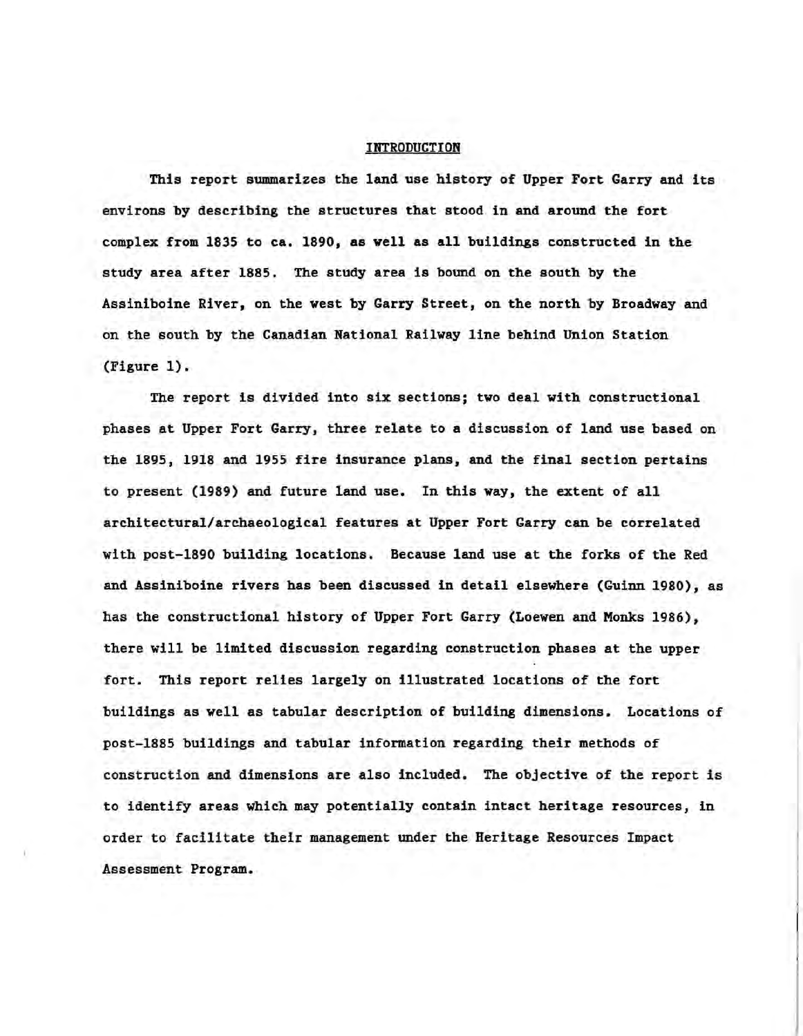## INTRODUCTION

This report summarizes the land use history of Upper Fort Garry and its environs by describing the structures that stood in and around the fort complex from 1835 to ca. 1890, as well as all buildings constructed in the study area after 1885. The study area is bound on the south by the Assiniboine River, on the west by Garry Street, on the north by Broadway and on the south by the Canadian National Railway line behind Union Station (Figure 1).

The report is divided into six sections; two deal with constructional phases at Upper Fort Garry, three relate to a discussion of land use based on the 1895, 1918 and 1955 fire insurance plans, and the final section pertains to present (1989) and future land use. In this way, the extent of all architectural/archaeological features at Upper Fort Garry can be correlated with post-1890 building locations. Because land use at the forks of the Red and Assiniboine rivers has been discussed in detail elsewhere (Guinn 1980), as has the constructional history of Upper Fort Garry (Loewen and Monks 1986), there will be limited discussion regarding construction phases at the upper fort. This report relies largely on illustrated locations of the fort buildings as well as tabular description of building dimensions. Locations of post-188S buildings and tabular information regarding their methods of construction and dimensions are also included. The objective of the report is to identify areas which may potentially contain intact heritage resources, in order to facilitate their management under the Heritage Resources Impact Assessment Program.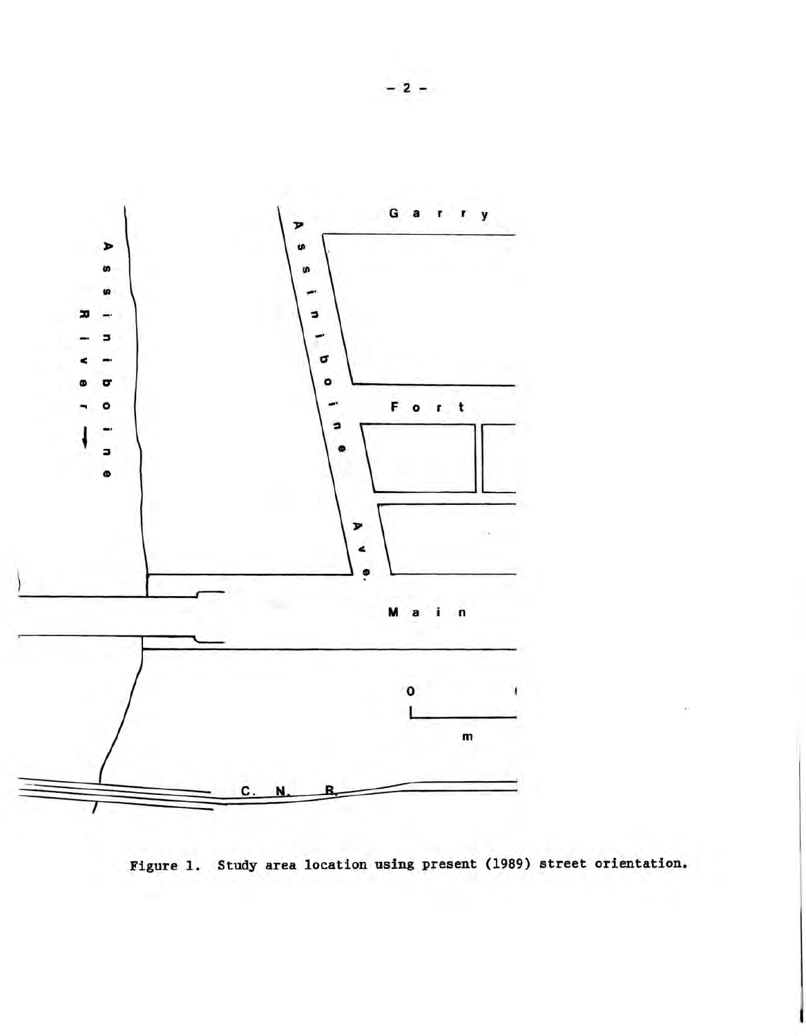

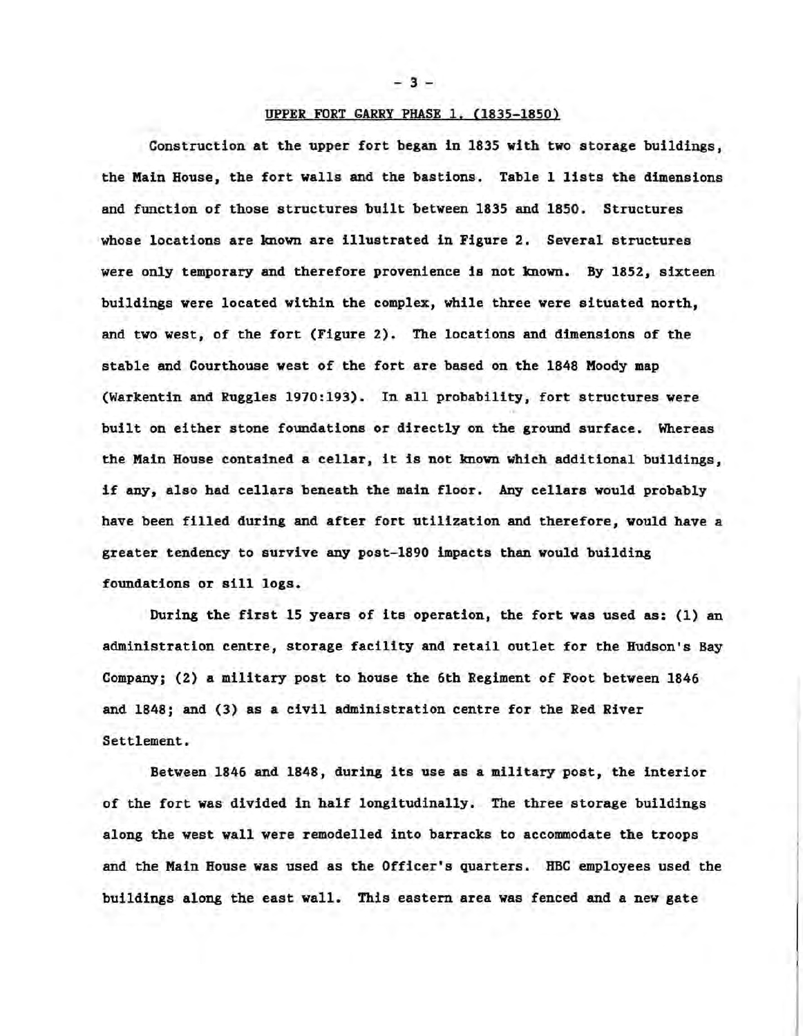$-3 -$ 

## UPPER FORT GARRY PHASE 1. (1835-1850)

Construction at the upper fort began in 1835 with two storage buildings, the Main House, the fort walls and the bastions. Table 1 lists the dimensions and function of those structures built between 1835 and 1850. Structures whose locations are known are illustrated in Figure 2. Several structures were only temporary and therefore provenience is not known. By 1852, sixteen buildings were located within the complex, while three were situated north, and two west, of the fort (Figure 2). The locations and dimensions of the stable and Courthouse west of the fort are based on the 1848 Moody map (Warkentin and Ruggles 1970:193). In all probability, fort structures were built on either stone foundations or directly on the ground surface. Whereas the Main House contained <sup>a</sup> cellar, it is not known which additional buildings, if any, also had cellars beneath the main floor. Any cellars would probably have been filled during and after fort utilization and therefore, would have a greater tendency to survive any post-1890 impacts than would building foundations or sill logs.

During the first 15 years of its operation, the fort was used as: (1) an administration centre, storage facility and retail outlet for the Hudson's Bay Company; (2) a military post to house the 6th Regiment of Foot between 1846 and 1848; and (3) as a civil administration centre for the Red River Settlement.

Between 1846 and 1848, during its use as a military post, the interior of the fort was divided in half longitudinally. The three storage buildings along the west wall were remodelled into barracks to accommodate the troops and the Main House was used as the Officer's quarters. HBC employees used the buildings along the east wall. This eastern area was fenced and a new gate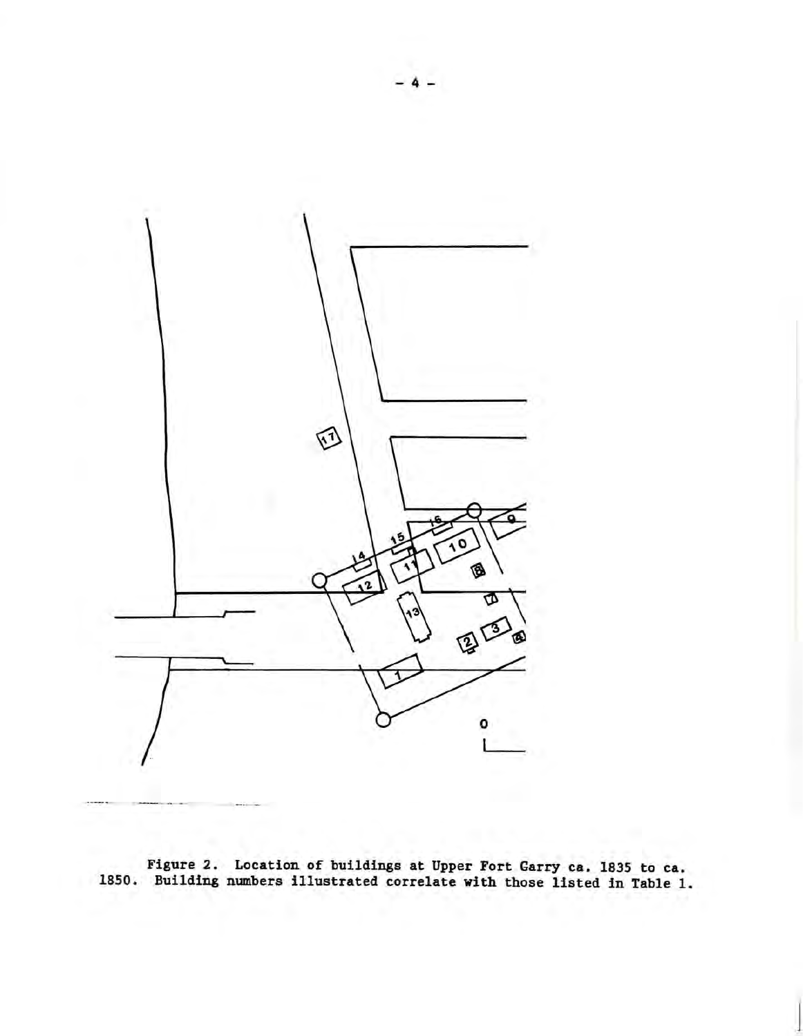

Figure 2. Location of buildings at Upper Fort Garry ca. 1835 to ca. 1850. Building numbers illustrated correlate with those listed in Table 1.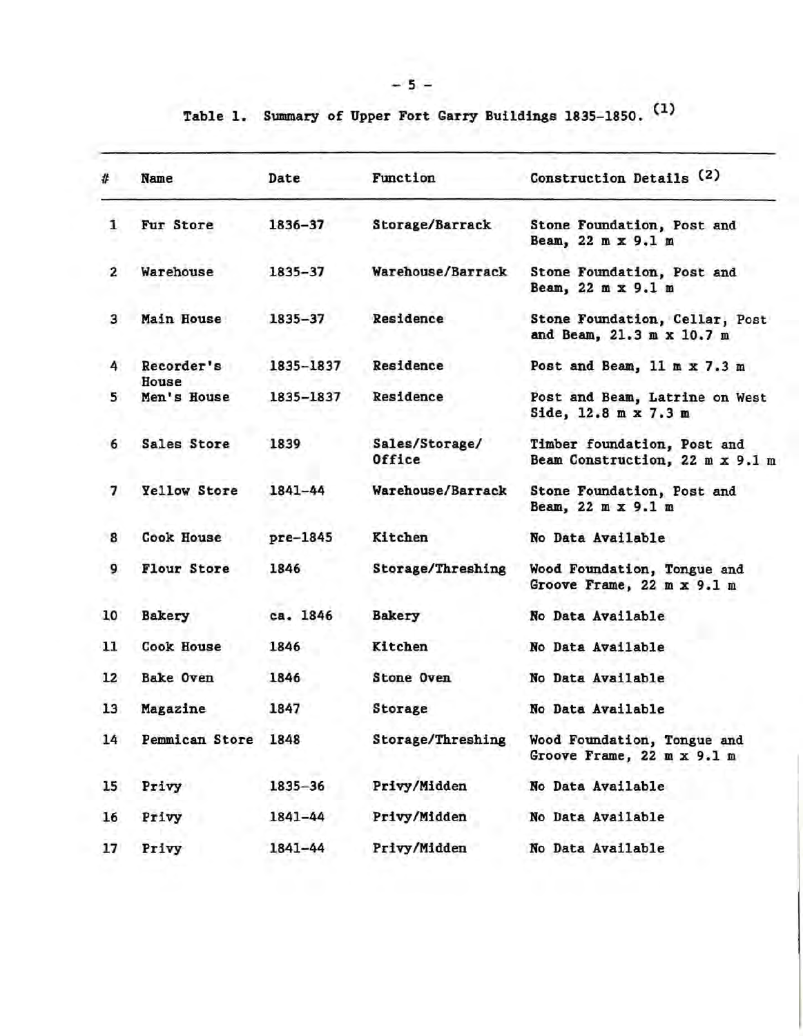Table 1. Summary of Upper Fort Garry Buildings 1835-1850. (1)

| #                       | Name                | Date        | Function                 | Construction Details (2)                                       |
|-------------------------|---------------------|-------------|--------------------------|----------------------------------------------------------------|
| 1                       | Fur Store           | 1836-37     | Storage/Barrack          | Stone Foundation, Post and<br>Beam, 22 m x 9.1 m               |
| $\overline{\mathbf{2}}$ | Warehouse           | 1835-37     | Warehouse/Barrack        | Stone Foundation, Post and<br>Beam, 22 m x 9.1 m               |
| 3                       | Main House          | $1835 - 37$ | Residence                | Stone Foundation, Cellar, Post<br>and Beam, 21.3 m x 10.7 m    |
| 4                       | Recorder's<br>House | 1835-1837   | Residence                | Post and Beam, 11 m x 7.3 m                                    |
| 5                       | Men's House         | 1835-1837   | Residence                | Post and Beam, Latrine on West<br>Side, 12.8 m x 7.3 m         |
| 6                       | Sales Store         | 1839        | Sales/Storage/<br>Office | Timber foundation, Post and<br>Beam Construction, 22 m x 9.1 m |
| 7                       | Yellow Store        | 1841-44     | Warehouse/Barrack        | Stone Foundation, Post and<br>Beam, 22 m x 9.1 m               |
| 8                       | <b>Cook House</b>   | pre-1845    | Kitchen                  | No Data Available                                              |
| 9                       | Flour Store         | 1846        | Storage/Threshing        | Wood Foundation, Tongue and<br>Groove Frame, 22 m x 9.1 m      |
| 10                      | <b>Bakery</b>       | ca. 1846    | <b>Bakery</b>            | No Data Available                                              |
| 11                      | Cook House          | 1846        | Kitchen                  | No Data Available                                              |
| 12                      | <b>Bake Oven</b>    | 1846        | Stone Oven               | No Data Available                                              |
| 13                      | Magazine            | 1847        | Storage                  | No Data Available                                              |
| 14                      | Pemmican Store      | 1848        | Storage/Threshing        | Wood Foundation, Tongue and<br>Groove Frame, 22 m x 9.1 m      |
| 15                      | Privy               | 1835-36     | Privy/Midden             | No Data Available                                              |
| 16                      | Privy               | 1841-44     | Privy/Midden             | No Data Available                                              |
| 17                      | Privy               | 1841-44     | Privy/Midden             | No Data Available                                              |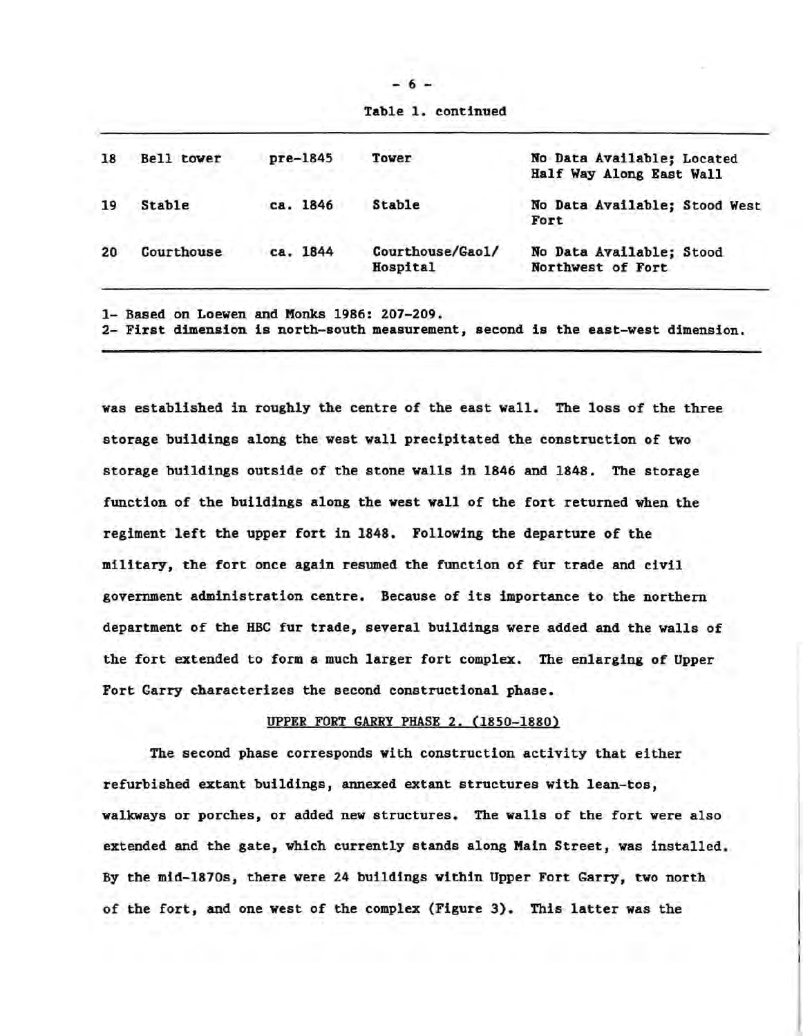| Bell tower    | $pre-1845$ | Tower                        | No Data Available; Located<br>Half Way Along East Wall |
|---------------|------------|------------------------------|--------------------------------------------------------|
| <b>Stable</b> | ca. 1846   | Stable                       | No Data Available; Stood West<br>Fort                  |
| Courthouse    | ca. 1844   | Courthouse/Gao1/<br>Hospital | No Data Available; Stood<br>Northwest of Fort          |
|               |            |                              |                                                        |

1- Based on Loewen and Monks 1986: 207-209.

2- First dimension is north-south measurement, second is the east-west dimension.

was established in roughly the centre of the east wall. The loss of the three storage buildings along the west wall precipitated the construction of two storage buildings outside of the stone walls in 1846 and 1848. The storage function of the buildings along the west wall of the fort returned when the regiment left the upper fort in 1848. Following the departure of the military, the fort once again resumed the function of fur trade and civil government administration centre. Because of its importance to the northern department of the HBC fur trade, several buildings were added and the walls of the fort extended to form a much larger fort complex. The enlarging of Upper Fort Garry characterizes the second constructional phase.

## UPPER FORT GARRY PHASE 2. (1850-1880)

The second phase corresponds with construction activity that either refurbished extant buildings, annexed extant structures with lean-tos, walkways or porches, or added new structures. The walls of the fort were also extended and the gate, which currently stands along Main Street, was installed. By the mid-1870s, there were 24 buildings within Upper Fort Garry, two north of the fort, and one west of the complex (Figure 3). This latter was the

Table 1. continued